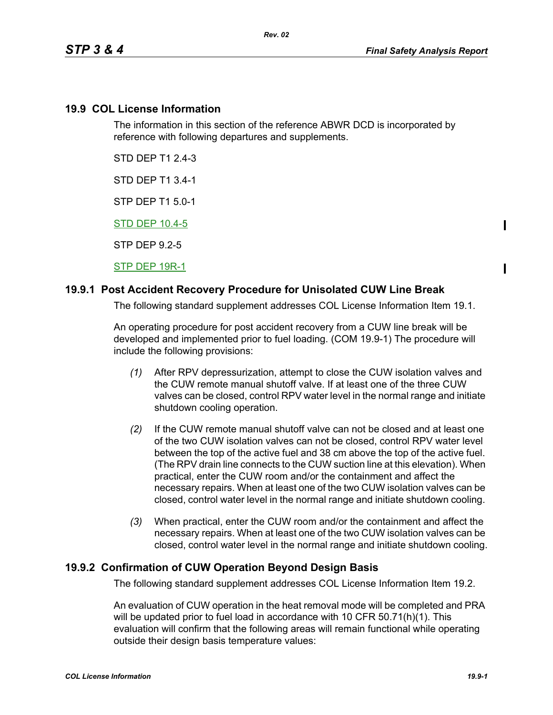Ι

Π

### **19.9 COL License Information**

The information in this section of the reference ABWR DCD is incorporated by reference with following departures and supplements.

STD DEP T1 2.4-3

STD DEP T1 3.4-1

STP DEP T1 5.0-1

STD DEP 10.4-5

STP DEP 9.2-5

STP DEP 19R-1

# **19.9.1 Post Accident Recovery Procedure for Unisolated CUW Line Break**

The following standard supplement addresses COL License Information Item 19.1.

An operating procedure for post accident recovery from a CUW line break will be developed and implemented prior to fuel loading. (COM 19.9-1) The procedure will include the following provisions:

- *(1)* After RPV depressurization, attempt to close the CUW isolation valves and the CUW remote manual shutoff valve. If at least one of the three CUW valves can be closed, control RPV water level in the normal range and initiate shutdown cooling operation.
- *(2)* If the CUW remote manual shutoff valve can not be closed and at least one of the two CUW isolation valves can not be closed, control RPV water level between the top of the active fuel and 38 cm above the top of the active fuel. (The RPV drain line connects to the CUW suction line at this elevation). When practical, enter the CUW room and/or the containment and affect the necessary repairs. When at least one of the two CUW isolation valves can be closed, control water level in the normal range and initiate shutdown cooling.
- *(3)* When practical, enter the CUW room and/or the containment and affect the necessary repairs. When at least one of the two CUW isolation valves can be closed, control water level in the normal range and initiate shutdown cooling.

# **19.9.2 Confirmation of CUW Operation Beyond Design Basis**

The following standard supplement addresses COL License Information Item 19.2.

An evaluation of CUW operation in the heat removal mode will be completed and PRA will be updated prior to fuel load in accordance with 10 CFR 50.71(h)(1). This evaluation will confirm that the following areas will remain functional while operating outside their design basis temperature values: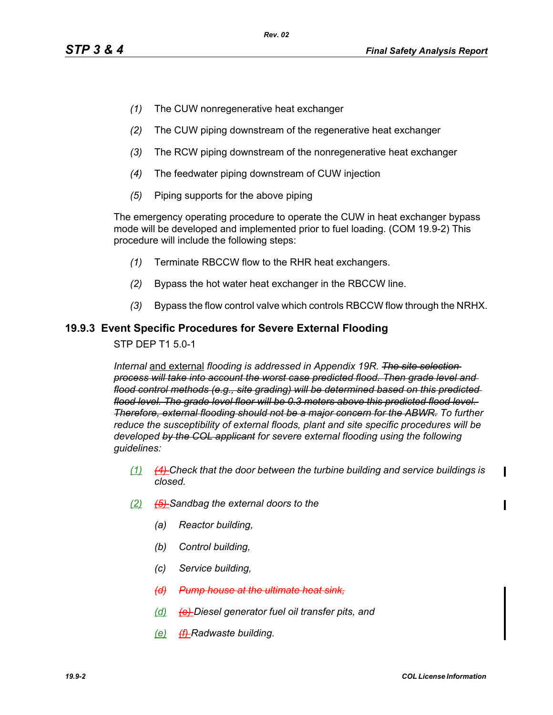- *(1)* The CUW nonregenerative heat exchanger
- *(2)* The CUW piping downstream of the regenerative heat exchanger
- *(3)* The RCW piping downstream of the nonregenerative heat exchanger
- *(4)* The feedwater piping downstream of CUW injection
- *(5)* Piping supports for the above piping

The emergency operating procedure to operate the CUW in heat exchanger bypass mode will be developed and implemented prior to fuel loading. (COM 19.9-2) This procedure will include the following steps:

- *(1)* Terminate RBCCW flow to the RHR heat exchangers.
- *(2)* Bypass the hot water heat exchanger in the RBCCW line.
- *(3)* Bypass the flow control valve which controls RBCCW flow through the NRHX.

### **19.9.3 Event Specific Procedures for Severe External Flooding**

STP DEP T1 5.0-1

*Internal* and external *flooding is addressed in Appendix 19R. The site selection process will take into account the worst case predicted flood. Then grade level and flood control methods (e.g., site grading) will be determined based on this predicted flood level. The grade level floor will be 0.3 meters above this predicted flood level. Therefore, external flooding should not be a major concern for the ABWR. To further reduce the susceptibility of external floods, plant and site specific procedures will be developed by the COL applicant for severe external flooding using the following guidelines:* 

- *(1) (4) Check that the door between the turbine building and service buildings is closed.*
- *(2) (5) Sandbag the external doors to the*
	- *(a) Reactor building,*
	- *(b) Control building,*
	- *(c) Service building,*
	- *(d) Pump house at the ultimate heat sink,*
	- *(d) (e) Diesel generator fuel oil transfer pits, and*
	- *(e) (f) Radwaste building.*

П

 $\mathbf I$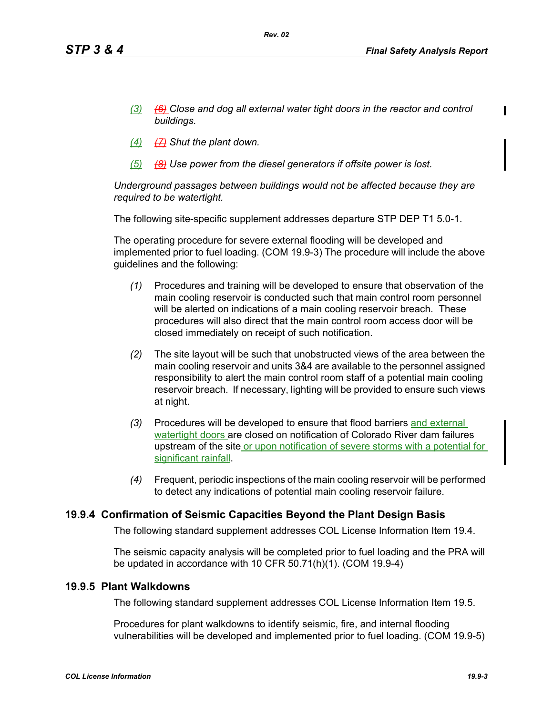- *(3) (6) Close and dog all external water tight doors in the reactor and control buildings.*
- *(4) (7) Shut the plant down.*
- *(5) (8) Use power from the diesel generators if offsite power is lost.*

*Underground passages between buildings would not be affected because they are required to be watertight.*

The following site-specific supplement addresses departure STP DEP T1 5.0-1.

The operating procedure for severe external flooding will be developed and implemented prior to fuel loading. (COM 19.9-3) The procedure will include the above guidelines and the following:

- *(1)* Procedures and training will be developed to ensure that observation of the main cooling reservoir is conducted such that main control room personnel will be alerted on indications of a main cooling reservoir breach. These procedures will also direct that the main control room access door will be closed immediately on receipt of such notification.
- *(2)* The site layout will be such that unobstructed views of the area between the main cooling reservoir and units 3&4 are available to the personnel assigned responsibility to alert the main control room staff of a potential main cooling reservoir breach. If necessary, lighting will be provided to ensure such views at night.
- *(3)* Procedures will be developed to ensure that flood barriers and external watertight doors are closed on notification of Colorado River dam failures upstream of the site or upon notification of severe storms with a potential for significant rainfall.
- *(4)* Frequent, periodic inspections of the main cooling reservoir will be performed to detect any indications of potential main cooling reservoir failure.

# **19.9.4 Confirmation of Seismic Capacities Beyond the Plant Design Basis**

The following standard supplement addresses COL License Information Item 19.4.

The seismic capacity analysis will be completed prior to fuel loading and the PRA will be updated in accordance with 10 CFR 50.71(h)(1). (COM 19.9-4)

### **19.9.5 Plant Walkdowns**

The following standard supplement addresses COL License Information Item 19.5.

Procedures for plant walkdowns to identify seismic, fire, and internal flooding vulnerabilities will be developed and implemented prior to fuel loading. (COM 19.9-5)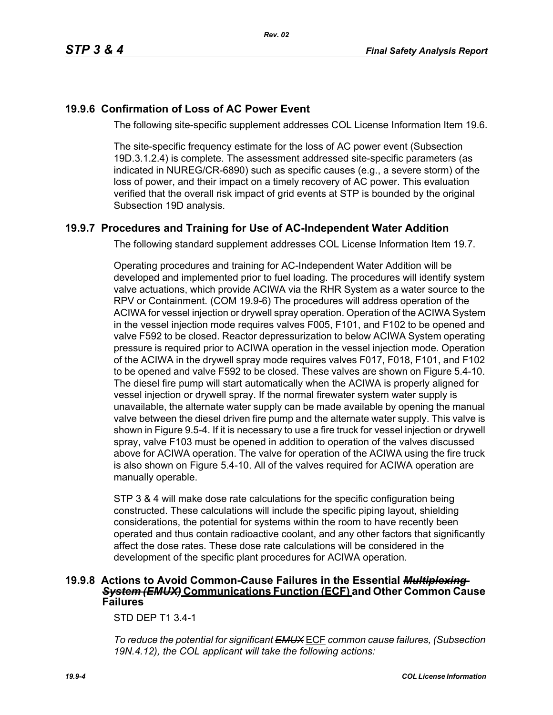# **19.9.6 Confirmation of Loss of AC Power Event**

The following site-specific supplement addresses COL License Information Item 19.6.

The site-specific frequency estimate for the loss of AC power event (Subsection 19D.3.1.2.4) is complete. The assessment addressed site-specific parameters (as indicated in NUREG/CR-6890) such as specific causes (e.g., a severe storm) of the loss of power, and their impact on a timely recovery of AC power. This evaluation verified that the overall risk impact of grid events at STP is bounded by the original Subsection 19D analysis.

# **19.9.7 Procedures and Training for Use of AC-Independent Water Addition**

The following standard supplement addresses COL License Information Item 19.7.

Operating procedures and training for AC-Independent Water Addition will be developed and implemented prior to fuel loading. The procedures will identify system valve actuations, which provide ACIWA via the RHR System as a water source to the RPV or Containment. (COM 19.9-6) The procedures will address operation of the ACIWA for vessel injection or drywell spray operation. Operation of the ACIWA System in the vessel injection mode requires valves F005, F101, and F102 to be opened and valve F592 to be closed. Reactor depressurization to below ACIWA System operating pressure is required prior to ACIWA operation in the vessel injection mode. Operation of the ACIWA in the drywell spray mode requires valves F017, F018, F101, and F102 to be opened and valve F592 to be closed. These valves are shown on Figure 5.4-10. The diesel fire pump will start automatically when the ACIWA is properly aligned for vessel injection or drywell spray. If the normal firewater system water supply is unavailable, the alternate water supply can be made available by opening the manual valve between the diesel driven fire pump and the alternate water supply. This valve is shown in Figure 9.5-4. If it is necessary to use a fire truck for vessel injection or drywell spray, valve F103 must be opened in addition to operation of the valves discussed above for ACIWA operation. The valve for operation of the ACIWA using the fire truck is also shown on Figure 5.4-10. All of the valves required for ACIWA operation are manually operable.

STP 3 & 4 will make dose rate calculations for the specific configuration being constructed. These calculations will include the specific piping layout, shielding considerations, the potential for systems within the room to have recently been operated and thus contain radioactive coolant, and any other factors that significantly affect the dose rates. These dose rate calculations will be considered in the development of the specific plant procedures for ACIWA operation.

### **19.9.8 Actions to Avoid Common-Cause Failures in the Essential** *Multiplexing System (EMUX)* **Communications Function (ECF) and Other Common Cause Failures**

STD DEP T1 3.4-1

*To reduce the potential for significant EMUX* ECF *common cause failures, (Subsection 19N.4.12), the COL applicant will take the following actions:*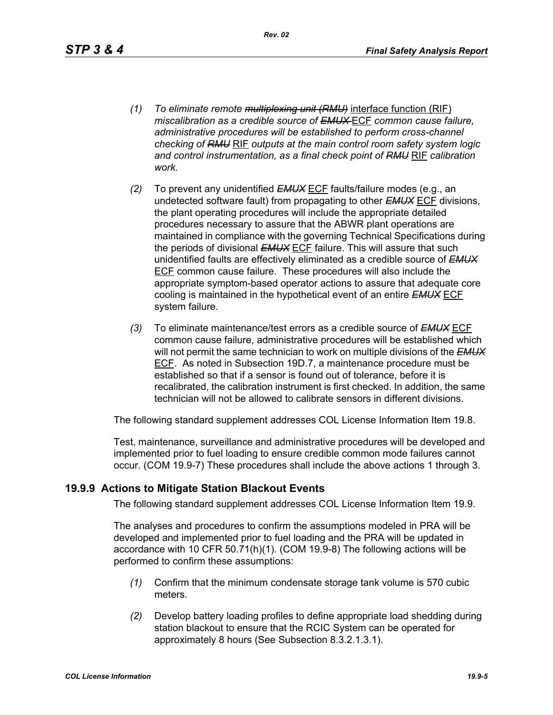*Rev. 02*

- *(1) To eliminate remote multiplexing unit (RMU)* interface function (RIF) *miscalibration as a credible source of EMUX* ECF *common cause failure, administrative procedures will be established to perform cross-channel checking of RMU* RIF *outputs at the main control room safety system logic and control instrumentation, as a final check point of RMU* RIF *calibration work.*
- *(2)* To prevent any unidentified *EMUX* ECF faults/failure modes (e.g., an undetected software fault) from propagating to other *EMUX* ECF divisions, the plant operating procedures will include the appropriate detailed procedures necessary to assure that the ABWR plant operations are maintained in compliance with the governing Technical Specifications during the periods of divisional *EMUX* ECF failure. This will assure that such unidentified faults are effectively eliminated as a credible source of *EMUX* ECF common cause failure. These procedures will also include the appropriate symptom-based operator actions to assure that adequate core cooling is maintained in the hypothetical event of an entire *EMUX* ECF system failure.
- *(3)* To eliminate maintenance/test errors as a credible source of *EMUX* ECF common cause failure, administrative procedures will be established which will not permit the same technician to work on multiple divisions of the *EMUX* ECF. As noted in Subsection 19D.7, a maintenance procedure must be established so that if a sensor is found out of tolerance, before it is recalibrated, the calibration instrument is first checked. In addition, the same technician will not be allowed to calibrate sensors in different divisions.

The following standard supplement addresses COL License Information Item 19.8.

Test, maintenance, surveillance and administrative procedures will be developed and implemented prior to fuel loading to ensure credible common mode failures cannot occur. (COM 19.9-7) These procedures shall include the above actions 1 through 3.

# **19.9.9 Actions to Mitigate Station Blackout Events**

The following standard supplement addresses COL License Information Item 19.9.

The analyses and procedures to confirm the assumptions modeled in PRA will be developed and implemented prior to fuel loading and the PRA will be updated in accordance with 10 CFR 50.71(h)(1). (COM 19.9-8) The following actions will be performed to confirm these assumptions:

- *(1)* Confirm that the minimum condensate storage tank volume is 570 cubic meters.
- *(2)* Develop battery loading profiles to define appropriate load shedding during station blackout to ensure that the RCIC System can be operated for approximately 8 hours (See Subsection 8.3.2.1.3.1).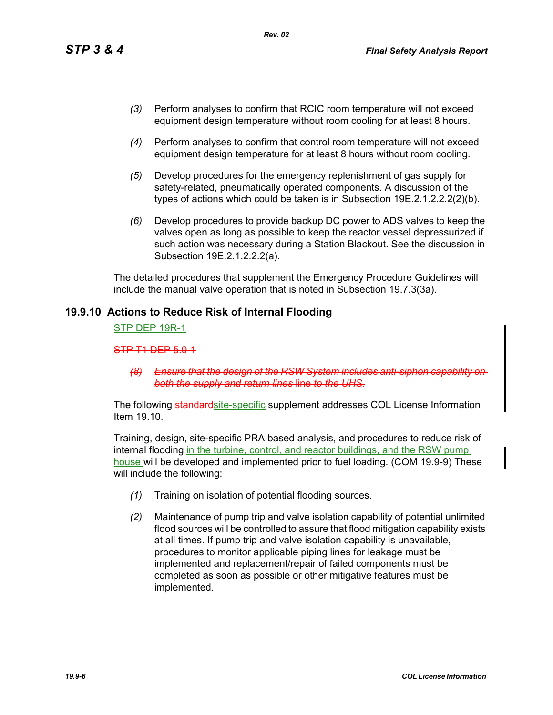- *(3)* Perform analyses to confirm that RCIC room temperature will not exceed equipment design temperature without room cooling for at least 8 hours.
- *(4)* Perform analyses to confirm that control room temperature will not exceed equipment design temperature for at least 8 hours without room cooling.
- *(5)* Develop procedures for the emergency replenishment of gas supply for safety-related, pneumatically operated components. A discussion of the types of actions which could be taken is in Subsection 19E.2.1.2.2.2(2)(b).
- *(6)* Develop procedures to provide backup DC power to ADS valves to keep the valves open as long as possible to keep the reactor vessel depressurized if such action was necessary during a Station Blackout. See the discussion in Subsection 19E.2.1.2.2.2(a).

The detailed procedures that supplement the Emergency Procedure Guidelines will include the manual valve operation that is noted in Subsection 19.7.3(3a).

### **19.9.10 Actions to Reduce Risk of Internal Flooding**

STP DEP 19R-1

STP T1 DEP 5.0-1

*(8) Ensure that the design of the RSW System include both the supply and return lines* line *to the UHS.*

The following standardsite-specific supplement addresses COL License Information Item 19.10.

Training, design, site-specific PRA based analysis, and procedures to reduce risk of internal flooding in the turbine, control, and reactor buildings, and the RSW pump house will be developed and implemented prior to fuel loading. (COM 19.9-9) These will include the following:

- *(1)* Training on isolation of potential flooding sources.
- *(2)* Maintenance of pump trip and valve isolation capability of potential unlimited flood sources will be controlled to assure that flood mitigation capability exists at all times. If pump trip and valve isolation capability is unavailable, procedures to monitor applicable piping lines for leakage must be implemented and replacement/repair of failed components must be completed as soon as possible or other mitigative features must be implemented.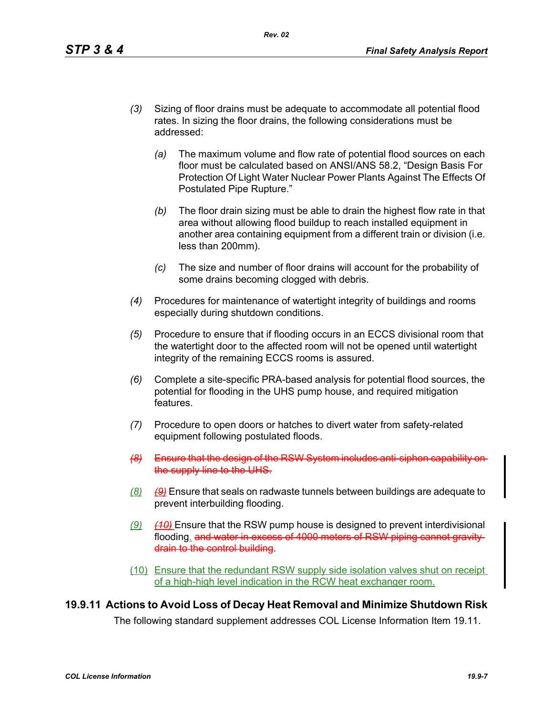- *(3)* Sizing of floor drains must be adequate to accommodate all potential flood rates. In sizing the floor drains, the following considerations must be addressed:
	- *(a)* The maximum volume and flow rate of potential flood sources on each floor must be calculated based on ANSI/ANS 58.2, "Design Basis For Protection Of Light Water Nuclear Power Plants Against The Effects Of Postulated Pipe Rupture."
	- *(b)* The floor drain sizing must be able to drain the highest flow rate in that area without allowing flood buildup to reach installed equipment in another area containing equipment from a different train or division (i.e. less than 200mm).
	- *(c)* The size and number of floor drains will account for the probability of some drains becoming clogged with debris.
- *(4)* Procedures for maintenance of watertight integrity of buildings and rooms especially during shutdown conditions.
- *(5)* Procedure to ensure that if flooding occurs in an ECCS divisional room that the watertight door to the affected room will not be opened until watertight integrity of the remaining ECCS rooms is assured.
- *(6)* Complete a site-specific PRA-based analysis for potential flood sources, the potential for flooding in the UHS pump house, and required mitigation features.
- *(7)* Procedure to open doors or hatches to divert water from safety-related equipment following postulated floods.
- **(8)** Ensure that the design of the RS the supply line to the UHS.
- *(8) (9)* Ensure that seals on radwaste tunnels between buildings are adequate to prevent interbuilding flooding.
- *(9) (10)* Ensure that the RSW pump house is designed to prevent interdivisional flooding, and water in excess of 4000 meters of RSW piping cannot gravity drain to the control building.
- (10) Ensure that the redundant RSW supply side isolation valves shut on receipt of a high-high level indication in the RCW heat exchanger room.

# **19.9.11 Actions to Avoid Loss of Decay Heat Removal and Minimize Shutdown Risk**

The following standard supplement addresses COL License Information Item 19.11.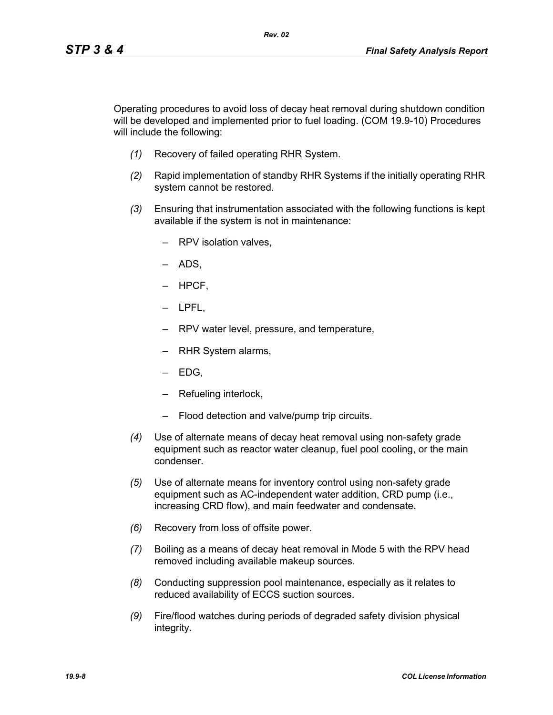Operating procedures to avoid loss of decay heat removal during shutdown condition will be developed and implemented prior to fuel loading. (COM 19.9-10) Procedures will include the following:

*Rev. 02*

- *(1)* Recovery of failed operating RHR System.
- *(2)* Rapid implementation of standby RHR Systems if the initially operating RHR system cannot be restored.
- *(3)* Ensuring that instrumentation associated with the following functions is kept available if the system is not in maintenance:
	- RPV isolation valves,
	- ADS,
	- HPCF,
	- LPFL,
	- RPV water level, pressure, and temperature,
	- RHR System alarms,
	- EDG,
	- Refueling interlock,
	- Flood detection and valve/pump trip circuits.
- *(4)* Use of alternate means of decay heat removal using non-safety grade equipment such as reactor water cleanup, fuel pool cooling, or the main condenser.
- *(5)* Use of alternate means for inventory control using non-safety grade equipment such as AC-independent water addition, CRD pump (i.e., increasing CRD flow), and main feedwater and condensate.
- *(6)* Recovery from loss of offsite power.
- *(7)* Boiling as a means of decay heat removal in Mode 5 with the RPV head removed including available makeup sources.
- *(8)* Conducting suppression pool maintenance, especially as it relates to reduced availability of ECCS suction sources.
- *(9)* Fire/flood watches during periods of degraded safety division physical integrity.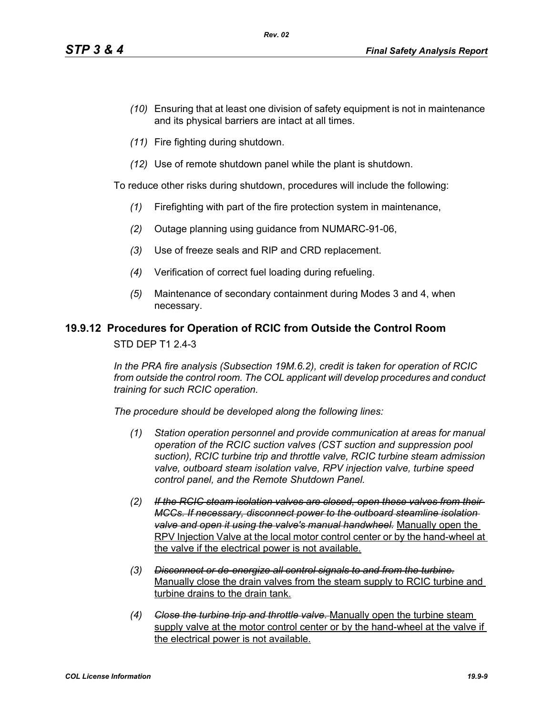- *(10)* Ensuring that at least one division of safety equipment is not in maintenance and its physical barriers are intact at all times.
- *(11)* Fire fighting during shutdown.
- *(12)* Use of remote shutdown panel while the plant is shutdown.

To reduce other risks during shutdown, procedures will include the following:

- *(1)* Firefighting with part of the fire protection system in maintenance,
- *(2)* Outage planning using guidance from NUMARC-91-06,
- *(3)* Use of freeze seals and RIP and CRD replacement.
- *(4)* Verification of correct fuel loading during refueling.
- *(5)* Maintenance of secondary containment during Modes 3 and 4, when necessary.

### **19.9.12 Procedures for Operation of RCIC from Outside the Control Room**

STD DEP T1 2.4-3

*In the PRA fire analysis (Subsection 19M.6.2), credit is taken for operation of RCIC from outside the control room. The COL applicant will develop procedures and conduct training for such RCIC operation.*

*The procedure should be developed along the following lines:*

- *(1) Station operation personnel and provide communication at areas for manual operation of the RCIC suction valves (CST suction and suppression pool suction), RCIC turbine trip and throttle valve, RCIC turbine steam admission valve, outboard steam isolation valve, RPV injection valve, turbine speed control panel, and the Remote Shutdown Panel.*
- *(2) If the RCIC steam isolation valves are closed, open these valves from their MCCs. If necessary, disconnect power to the outboard steamline isolation valve and open it using the valve's manual handwheel.* Manually open the RPV Injection Valve at the local motor control center or by the hand-wheel at the valve if the electrical power is not available.
- *(3) Disconnect or de-energize all control signals to and from the turbine.* Manually close the drain valves from the steam supply to RCIC turbine and turbine drains to the drain tank.
- *(4) Close the turbine trip and throttle valve.* Manually open the turbine steam supply valve at the motor control center or by the hand-wheel at the valve if the electrical power is not available.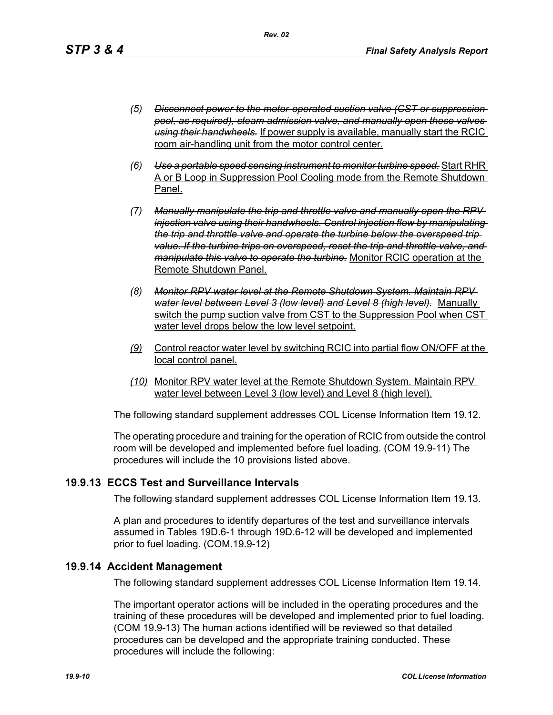- *(5) Disconnect power to the motor-operated suction valve (CST or suppression pool, as required), steam admission valve, and manually open these valves using their handwheels.* If power supply is available, manually start the RCIC room air-handling unit from the motor control center.
- *(6) Use a portable speed sensing instrument to monitor turbine speed.* Start RHR A or B Loop in Suppression Pool Cooling mode from the Remote Shutdown Panel.
- *(7) Manually manipulate the trip and throttle valve and manually open the RPV injection valve using their handwheels. Control injection flow by manipulating the trip and throttle valve and operate the turbine below the overspeed trip value. If the turbine trips on overspeed, reset the trip and throttle valve, and manipulate this valve to operate the turbine.* Monitor RCIC operation at the Remote Shutdown Panel.
- *(8) Monitor RPV water level at the Remote Shutdown System. Maintain RPV water level between Level 3 (low level) and Level 8 (high level).* Manually switch the pump suction valve from CST to the Suppression Pool when CST water level drops below the low level setpoint.
- *(9)* Control reactor water level by switching RCIC into partial flow ON/OFF at the local control panel.
- *(10)* Monitor RPV water level at the Remote Shutdown System. Maintain RPV water level between Level 3 (low level) and Level 8 (high level).

The following standard supplement addresses COL License Information Item 19.12.

The operating procedure and training for the operation of RCIC from outside the control room will be developed and implemented before fuel loading. (COM 19.9-11) The procedures will include the 10 provisions listed above.

# **19.9.13 ECCS Test and Surveillance Intervals**

The following standard supplement addresses COL License Information Item 19.13.

A plan and procedures to identify departures of the test and surveillance intervals assumed in Tables 19D.6-1 through 19D.6-12 will be developed and implemented prior to fuel loading. (COM.19.9-12)

### **19.9.14 Accident Management**

The following standard supplement addresses COL License Information Item 19.14.

The important operator actions will be included in the operating procedures and the training of these procedures will be developed and implemented prior to fuel loading. (COM 19.9-13) The human actions identified will be reviewed so that detailed procedures can be developed and the appropriate training conducted. These procedures will include the following: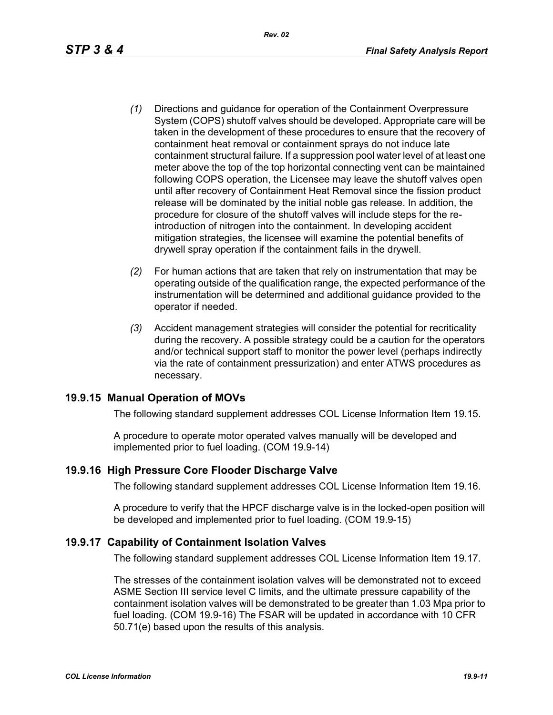- *(1)* Directions and guidance for operation of the Containment Overpressure System (COPS) shutoff valves should be developed. Appropriate care will be taken in the development of these procedures to ensure that the recovery of containment heat removal or containment sprays do not induce late containment structural failure. If a suppression pool water level of at least one meter above the top of the top horizontal connecting vent can be maintained following COPS operation, the Licensee may leave the shutoff valves open until after recovery of Containment Heat Removal since the fission product release will be dominated by the initial noble gas release. In addition, the procedure for closure of the shutoff valves will include steps for the reintroduction of nitrogen into the containment. In developing accident mitigation strategies, the licensee will examine the potential benefits of drywell spray operation if the containment fails in the drywell.
- *(2)* For human actions that are taken that rely on instrumentation that may be operating outside of the qualification range, the expected performance of the instrumentation will be determined and additional guidance provided to the operator if needed.
- *(3)* Accident management strategies will consider the potential for recriticality during the recovery. A possible strategy could be a caution for the operators and/or technical support staff to monitor the power level (perhaps indirectly via the rate of containment pressurization) and enter ATWS procedures as necessary.

# **19.9.15 Manual Operation of MOVs**

The following standard supplement addresses COL License Information Item 19.15.

A procedure to operate motor operated valves manually will be developed and implemented prior to fuel loading. (COM 19.9-14)

# **19.9.16 High Pressure Core Flooder Discharge Valve**

The following standard supplement addresses COL License Information Item 19.16.

A procedure to verify that the HPCF discharge valve is in the locked-open position will be developed and implemented prior to fuel loading. (COM 19.9-15)

# **19.9.17 Capability of Containment Isolation Valves**

The following standard supplement addresses COL License Information Item 19.17.

The stresses of the containment isolation valves will be demonstrated not to exceed ASME Section III service level C limits, and the ultimate pressure capability of the containment isolation valves will be demonstrated to be greater than 1.03 Mpa prior to fuel loading. (COM 19.9-16) The FSAR will be updated in accordance with 10 CFR 50.71(e) based upon the results of this analysis.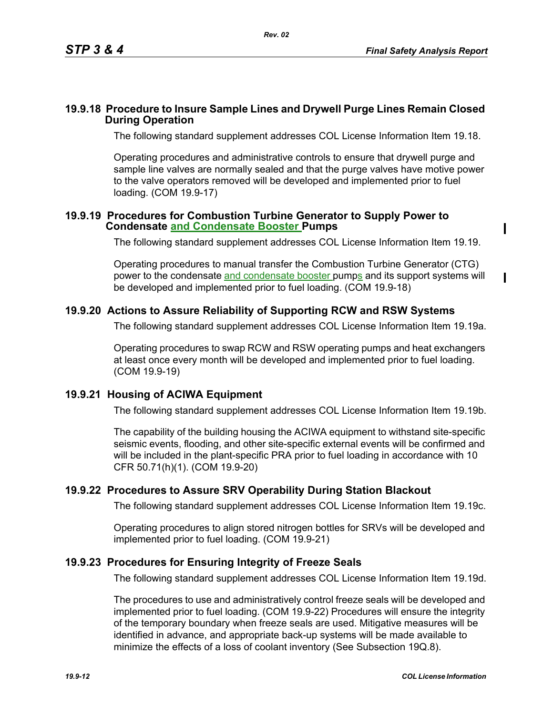$\mathbf I$ 

### **19.9.18 Procedure to Insure Sample Lines and Drywell Purge Lines Remain Closed During Operation**

The following standard supplement addresses COL License Information Item 19.18.

Operating procedures and administrative controls to ensure that drywell purge and sample line valves are normally sealed and that the purge valves have motive power to the valve operators removed will be developed and implemented prior to fuel loading. (COM 19.9-17)

### **19.9.19 Procedures for Combustion Turbine Generator to Supply Power to Condensate and Condensate Booster Pumps**

The following standard supplement addresses COL License Information Item 19.19.

Operating procedures to manual transfer the Combustion Turbine Generator (CTG) power to the condensate and condensate booster pumps and its support systems will be developed and implemented prior to fuel loading. (COM 19.9-18)

# **19.9.20 Actions to Assure Reliability of Supporting RCW and RSW Systems**

The following standard supplement addresses COL License Information Item 19.19a.

Operating procedures to swap RCW and RSW operating pumps and heat exchangers at least once every month will be developed and implemented prior to fuel loading. (COM 19.9-19)

# **19.9.21 Housing of ACIWA Equipment**

The following standard supplement addresses COL License Information Item 19.19b.

The capability of the building housing the ACIWA equipment to withstand site-specific seismic events, flooding, and other site-specific external events will be confirmed and will be included in the plant-specific PRA prior to fuel loading in accordance with 10 CFR 50.71(h)(1). (COM 19.9-20)

# **19.9.22 Procedures to Assure SRV Operability During Station Blackout**

The following standard supplement addresses COL License Information Item 19.19c.

Operating procedures to align stored nitrogen bottles for SRVs will be developed and implemented prior to fuel loading. (COM 19.9-21)

# **19.9.23 Procedures for Ensuring Integrity of Freeze Seals**

The following standard supplement addresses COL License Information Item 19.19d.

The procedures to use and administratively control freeze seals will be developed and implemented prior to fuel loading. (COM 19.9-22) Procedures will ensure the integrity of the temporary boundary when freeze seals are used. Mitigative measures will be identified in advance, and appropriate back-up systems will be made available to minimize the effects of a loss of coolant inventory (See Subsection 19Q.8).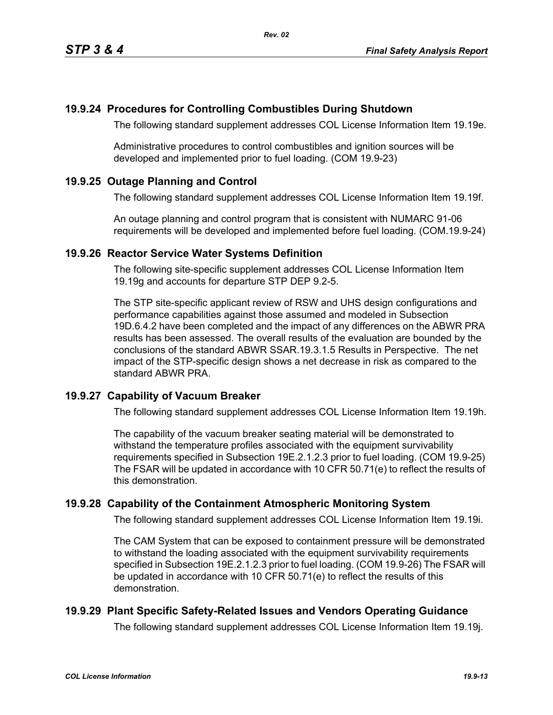### **19.9.24 Procedures for Controlling Combustibles During Shutdown**

The following standard supplement addresses COL License Information Item 19.19e.

Administrative procedures to control combustibles and ignition sources will be developed and implemented prior to fuel loading. (COM 19.9-23)

### **19.9.25 Outage Planning and Control**

The following standard supplement addresses COL License Information Item 19.19f.

An outage planning and control program that is consistent with NUMARC 91-06 requirements will be developed and implemented before fuel loading. (COM.19.9-24)

### **19.9.26 Reactor Service Water Systems Definition**

The following site-specific supplement addresses COL License Information Item 19.19g and accounts for departure STP DEP 9.2-5.

The STP site-specific applicant review of RSW and UHS design configurations and performance capabilities against those assumed and modeled in Subsection 19D.6.4.2 have been completed and the impact of any differences on the ABWR PRA results has been assessed. The overall results of the evaluation are bounded by the conclusions of the standard ABWR SSAR.19.3.1.5 Results in Perspective. The net impact of the STP-specific design shows a net decrease in risk as compared to the standard ABWR PRA.

### **19.9.27 Capability of Vacuum Breaker**

The following standard supplement addresses COL License Information Item 19.19h.

The capability of the vacuum breaker seating material will be demonstrated to withstand the temperature profiles associated with the equipment survivability requirements specified in Subsection 19E.2.1.2.3 prior to fuel loading. (COM 19.9-25) The FSAR will be updated in accordance with 10 CFR 50.71(e) to reflect the results of this demonstration.

### **19.9.28 Capability of the Containment Atmospheric Monitoring System**

The following standard supplement addresses COL License Information Item 19.19i.

The CAM System that can be exposed to containment pressure will be demonstrated to withstand the loading associated with the equipment survivability requirements specified in Subsection 19E.2.1.2.3 prior to fuel loading. (COM 19.9-26) The FSAR will be updated in accordance with 10 CFR 50.71(e) to reflect the results of this demonstration.

### **19.9.29 Plant Specific Safety-Related Issues and Vendors Operating Guidance**

The following standard supplement addresses COL License Information Item 19.19j.